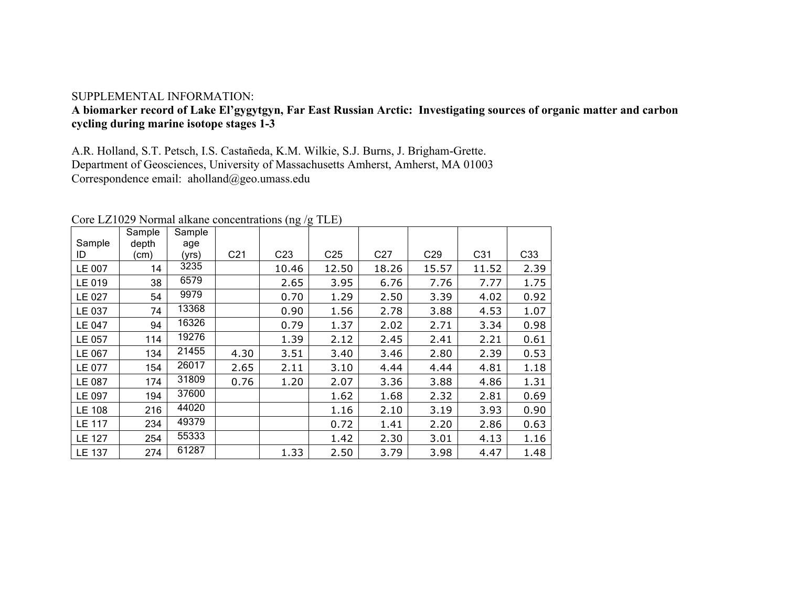## SUPPLEMENTAL INFORMATION:

## **A biomarker record of Lake El'gygytgyn, Far East Russian Arctic: Investigating sources of organic matter and carbon cycling during marine isotope stages 1-3**

A.R. Holland, S.T. Petsch, I.S. Castañeda, K.M. Wilkie, S.J. Burns, J. Brigham-Grette. Department of Geosciences, University of Massachusetts Amherst, Amherst, MA 01003 Correspondence email: aholland@geo.umass.edu

|               |        |        |                 | - (--0 ' 0      |                 |                 |                 |       |      |
|---------------|--------|--------|-----------------|-----------------|-----------------|-----------------|-----------------|-------|------|
|               | Sample | Sample |                 |                 |                 |                 |                 |       |      |
| Sample        | depth  | age    |                 |                 |                 |                 |                 |       |      |
| ID            | (cm)   | (yrs)  | C <sub>21</sub> | C <sub>23</sub> | C <sub>25</sub> | C <sub>27</sub> | C <sub>29</sub> | C31   | C33  |
| LE 007        | 14     | 3235   |                 | 10.46           | 12.50           | 18.26           | 15.57           | 11.52 | 2.39 |
| LE 019        | 38     | 6579   |                 | 2.65            | 3.95            | 6.76            | 7.76            | 7.77  | 1.75 |
| LE 027        | 54     | 9979   |                 | 0.70            | 1.29            | 2.50            | 3.39            | 4.02  | 0.92 |
| LE 037        | 74     | 13368  |                 | 0.90            | 1.56            | 2.78            | 3.88            | 4.53  | 1.07 |
| LE 047        | 94     | 16326  |                 | 0.79            | 1.37            | 2.02            | 2.71            | 3.34  | 0.98 |
| LE 057        | 114    | 19276  |                 | 1.39            | 2.12            | 2.45            | 2.41            | 2.21  | 0.61 |
| LE 067        | 134    | 21455  | 4.30            | 3.51            | 3.40            | 3.46            | 2.80            | 2.39  | 0.53 |
| LE 077        | 154    | 26017  | 2.65            | 2.11            | 3.10            | 4.44            | 4.44            | 4.81  | 1.18 |
| LE 087        | 174    | 31809  | 0.76            | 1.20            | 2.07            | 3.36            | 3.88            | 4.86  | 1.31 |
| LE 097        | 194    | 37600  |                 |                 | 1.62            | 1.68            | 2.32            | 2.81  | 0.69 |
| LE 108        | 216    | 44020  |                 |                 | 1.16            | 2.10            | 3.19            | 3.93  | 0.90 |
| LE 117        | 234    | 49379  |                 |                 | 0.72            | 1.41            | 2.20            | 2.86  | 0.63 |
| <b>LE 127</b> | 254    | 55333  |                 |                 | 1.42            | 2.30            | 3.01            | 4.13  | 1.16 |
| <b>LE 137</b> | 274    | 61287  |                 | 1.33            | 2.50            | 3.79            | 3.98            | 4.47  | 1.48 |

Core LZ1029 Normal alkane concentrations (ng /g TLE)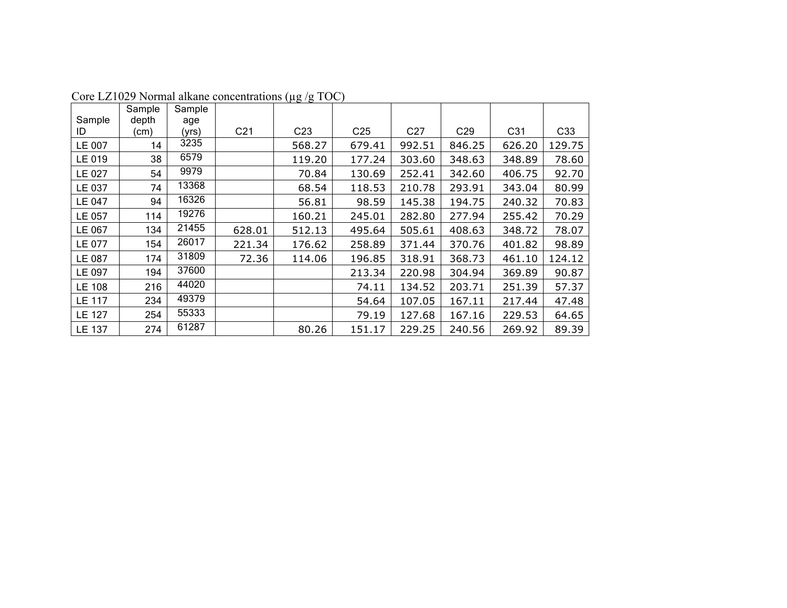|               | Sample | Sample |                 |                 |                 |                 |                 |        |                 |
|---------------|--------|--------|-----------------|-----------------|-----------------|-----------------|-----------------|--------|-----------------|
| Sample        | depth  | age    |                 |                 |                 |                 |                 |        |                 |
| ID            | (cm)   | (yrs)  | C <sub>21</sub> | C <sub>23</sub> | C <sub>25</sub> | C <sub>27</sub> | C <sub>29</sub> | C31    | C <sub>33</sub> |
| LE 007        | 14     | 3235   |                 | 568.27          | 679.41          | 992.51          | 846.25          | 626.20 | 129.75          |
| LE 019        | 38     | 6579   |                 | 119.20          | 177.24          | 303.60          | 348.63          | 348.89 | 78.60           |
| LE 027        | 54     | 9979   |                 | 70.84           | 130.69          | 252.41          | 342.60          | 406.75 | 92.70           |
| LE 037        | 74     | 13368  |                 | 68.54           | 118.53          | 210.78          | 293.91          | 343.04 | 80.99           |
| LE 047        | 94     | 16326  |                 | 56.81           | 98.59           | 145.38          | 194.75          | 240.32 | 70.83           |
| LE 057        | 114    | 19276  |                 | 160.21          | 245.01          | 282.80          | 277.94          | 255.42 | 70.29           |
| LE 067        | 134    | 21455  | 628.01          | 512.13          | 495.64          | 505.61          | 408.63          | 348.72 | 78.07           |
| LE 077        | 154    | 26017  | 221.34          | 176.62          | 258.89          | 371.44          | 370.76          | 401.82 | 98.89           |
| LE 087        | 174    | 31809  | 72.36           | 114.06          | 196.85          | 318.91          | 368.73          | 461.10 | 124.12          |
| LE 097        | 194    | 37600  |                 |                 | 213.34          | 220.98          | 304.94          | 369.89 | 90.87           |
| <b>LE 108</b> | 216    | 44020  |                 |                 | 74.11           | 134.52          | 203.71          | 251.39 | 57.37           |
| LE 117        | 234    | 49379  |                 |                 | 54.64           | 107.05          | 167.11          | 217.44 | 47.48           |
| <b>LE 127</b> | 254    | 55333  |                 |                 | 79.19           | 127.68          | 167.16          | 229.53 | 64.65           |
| LE 137        | 274    | 61287  |                 | 80.26           | 151.17          | 229.25          | 240.56          | 269.92 | 89.39           |

Core LZ1029 Normal alkane concentrations (µg /g TOC)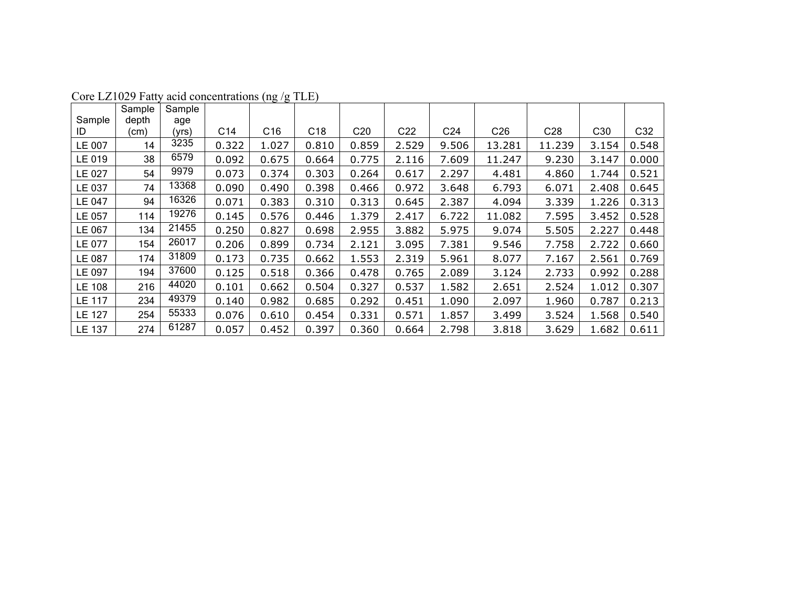|               | Sample | Sample |       |       |                 |                 |                 |                 |                 |                 |                 |       |
|---------------|--------|--------|-------|-------|-----------------|-----------------|-----------------|-----------------|-----------------|-----------------|-----------------|-------|
| Sample        | depth  | age    |       |       |                 |                 |                 |                 |                 |                 |                 |       |
| ID            | (cm)   | (yrs)  | C14   | C16   | C <sub>18</sub> | C <sub>20</sub> | C <sub>22</sub> | C <sub>24</sub> | C <sub>26</sub> | C <sub>28</sub> | C <sub>30</sub> | C32   |
| LE 007        | 14     | 3235   | 0.322 | 1.027 | 0.810           | 0.859           | 2.529           | 9.506           | 13.281          | 11.239          | 3.154           | 0.548 |
| LE 019        | 38     | 6579   | 0.092 | 0.675 | 0.664           | 0.775           | 2.116           | 7.609           | 11.247          | 9.230           | 3.147           | 0.000 |
| LE 027        | 54     | 9979   | 0.073 | 0.374 | 0.303           | 0.264           | 0.617           | 2.297           | 4.481           | 4.860           | 1.744           | 0.521 |
| LE 037        | 74     | 13368  | 0.090 | 0.490 | 0.398           | 0.466           | 0.972           | 3.648           | 6.793           | 6.071           | 2.408           | 0.645 |
| LE 047        | 94     | 16326  | 0.071 | 0.383 | 0.310           | 0.313           | 0.645           | 2.387           | 4.094           | 3.339           | 1.226           | 0.313 |
| LE 057        | 114    | 19276  | 0.145 | 0.576 | 0.446           | 1.379           | 2.417           | 6.722           | 11.082          | 7.595           | 3.452           | 0.528 |
| LE 067        | 134    | 21455  | 0.250 | 0.827 | 0.698           | 2.955           | 3.882           | 5.975           | 9.074           | 5.505           | 2.227           | 0.448 |
| LE 077        | 154    | 26017  | 0.206 | 0.899 | 0.734           | 2.121           | 3.095           | 7.381           | 9.546           | 7.758           | 2.722           | 0.660 |
| LE 087        | 174    | 31809  | 0.173 | 0.735 | 0.662           | 1.553           | 2.319           | 5.961           | 8.077           | 7.167           | 2.561           | 0.769 |
| LE 097        | 194    | 37600  | 0.125 | 0.518 | 0.366           | 0.478           | 0.765           | 2.089           | 3.124           | 2.733           | 0.992           | 0.288 |
| LE 108        | 216    | 44020  | 0.101 | 0.662 | 0.504           | 0.327           | 0.537           | 1.582           | 2.651           | 2.524           | 1.012           | 0.307 |
| <b>LE 117</b> | 234    | 49379  | 0.140 | 0.982 | 0.685           | 0.292           | 0.451           | 1.090           | 2.097           | 1.960           | 0.787           | 0.213 |
| <b>LE 127</b> | 254    | 55333  | 0.076 | 0.610 | 0.454           | 0.331           | 0.571           | 1.857           | 3.499           | 3.524           | 1.568           | 0.540 |
| LE 137        | 274    | 61287  | 0.057 | 0.452 | 0.397           | 0.360           | 0.664           | 2.798           | 3.818           | 3.629           | 1.682           | 0.611 |

Core LZ1029 Fatty acid concentrations (ng /g TLE)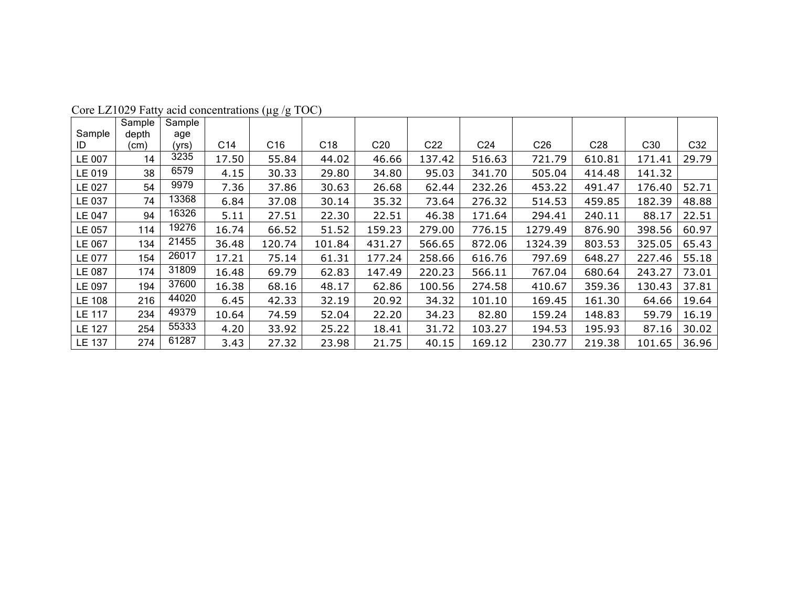|               | Sample | Sample |       |                 |                 |                 |                 |                 |                 |                 |                 |       |
|---------------|--------|--------|-------|-----------------|-----------------|-----------------|-----------------|-----------------|-----------------|-----------------|-----------------|-------|
| Sample        | depth  | age    |       |                 |                 |                 |                 |                 |                 |                 |                 |       |
| ID            | (cm)   | (yrs)  | C14   | C <sub>16</sub> | C <sub>18</sub> | C <sub>20</sub> | C <sub>22</sub> | C <sub>24</sub> | C <sub>26</sub> | C <sub>28</sub> | C <sub>30</sub> | C32   |
| LE 007        | 14     | 3235   | 17.50 | 55.84           | 44.02           | 46.66           | 137.42          | 516.63          | 721.79          | 610.81          | 171.41          | 29.79 |
| LE 019        | 38     | 6579   | 4.15  | 30.33           | 29.80           | 34.80           | 95.03           | 341.70          | 505.04          | 414.48          | 141.32          |       |
| LE 027        | 54     | 9979   | 7.36  | 37.86           | 30.63           | 26.68           | 62.44           | 232.26          | 453.22          | 491.47          | 176.40          | 52.71 |
| LE 037        | 74     | 13368  | 6.84  | 37.08           | 30.14           | 35.32           | 73.64           | 276.32          | 514.53          | 459.85          | 182.39          | 48.88 |
| LE 047        | 94     | 16326  | 5.11  | 27.51           | 22.30           | 22.51           | 46.38           | 171.64          | 294.41          | 240.11          | 88.17           | 22.51 |
| LE 057        | 114    | 19276  | 16.74 | 66.52           | 51.52           | 159.23          | 279.00          | 776.15          | 1279.49         | 876.90          | 398.56          | 60.97 |
| LE 067        | 134    | 21455  | 36.48 | 120.74          | 101.84          | 431.27          | 566.65          | 872.06          | 1324.39         | 803.53          | 325.05          | 65.43 |
| LE 077        | 154    | 26017  | 17.21 | 75.14           | 61.31           | 177.24          | 258.66          | 616.76          | 797.69          | 648.27          | 227.46          | 55.18 |
| LE 087        | 174    | 31809  | 16.48 | 69.79           | 62.83           | 147.49          | 220.23          | 566.11          | 767.04          | 680.64          | 243.27          | 73.01 |
| LE 097        | 194    | 37600  | 16.38 | 68.16           | 48.17           | 62.86           | 100.56          | 274.58          | 410.67          | 359.36          | 130.43          | 37.81 |
| <b>LE 108</b> | 216    | 44020  | 6.45  | 42.33           | 32.19           | 20.92           | 34.32           | 101.10          | 169.45          | 161.30          | 64.66           | 19.64 |
| LE 117        | 234    | 49379  | 10.64 | 74.59           | 52.04           | 22.20           | 34.23           | 82.80           | 159.24          | 148.83          | 59.79           | 16.19 |
| <b>LE 127</b> | 254    | 55333  | 4.20  | 33.92           | 25.22           | 18.41           | 31.72           | 103.27          | 194.53          | 195.93          | 87.16           | 30.02 |
| LE 137        | 274    | 61287  | 3.43  | 27.32           | 23.98           | 21.75           | 40.15           | 169.12          | 230.77          | 219.38          | 101.65          | 36.96 |

Core LZ1029 Fatty acid concentrations (µg /g TOC)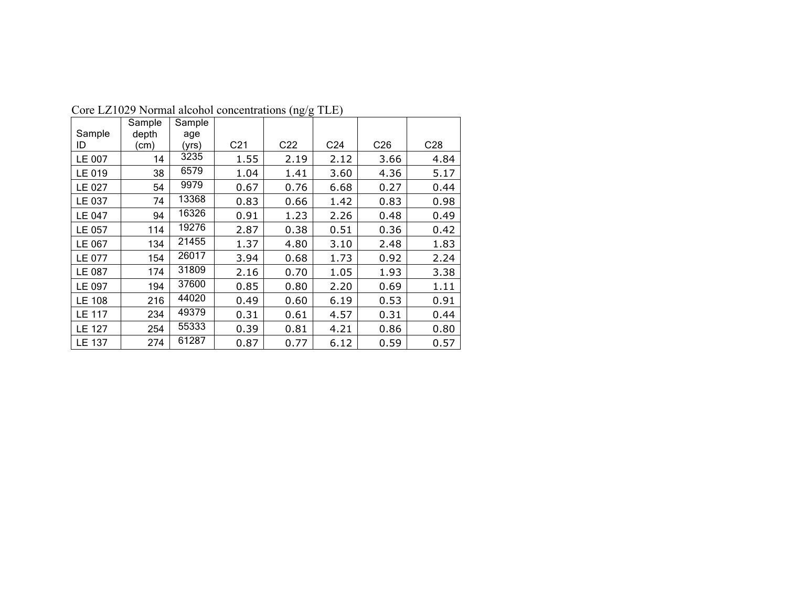|               | Sample | Sample |                 |                 |                 |                 |                 |
|---------------|--------|--------|-----------------|-----------------|-----------------|-----------------|-----------------|
| Sample        | depth  | age    |                 |                 |                 |                 |                 |
| ID            | (cm)   | (yrs)  | C <sub>21</sub> | C <sub>22</sub> | C <sub>24</sub> | C <sub>26</sub> | C <sub>28</sub> |
| LE 007        | 14     | 3235   | 1.55            | 2.19            | 2.12            | 3.66            | 4.84            |
| LE 019        | 38     | 6579   | 1.04            | 1.41            | 3.60            | 4.36            | 5.17            |
| LE 027        | 54     | 9979   | 0.67            | 0.76            | 6.68            | 0.27            | 0.44            |
| LE 037        | 74     | 13368  | 0.83            | 0.66            | 1.42            | 0.83            | 0.98            |
| <b>LE 047</b> | 94     | 16326  | 0.91            | 1.23            | 2.26            | 0.48            | 0.49            |
| LE 057        | 114    | 19276  | 2.87            | 0.38            | 0.51            | 0.36            | 0.42            |
| LE 067        | 134    | 21455  | 1.37            | 4.80            | 3.10            | 2.48            | 1.83            |
| LE 077        | 154    | 26017  | 3.94            | 0.68            | 1.73            | 0.92            | 2.24            |
| LE 087        | 174    | 31809  | 2.16            | 0.70            | 1.05            | 1.93            | 3.38            |
| LE 097        | 194    | 37600  | 0.85            | 0.80            | 2.20            | 0.69            | 1.11            |
| <b>LE 108</b> | 216    | 44020  | 0.49            | 0.60            | 6.19            | 0.53            | 0.91            |
| <b>LE 117</b> | 234    | 49379  | 0.31            | 0.61            | 4.57            | 0.31            | 0.44            |
| <b>LE 127</b> | 254    | 55333  | 0.39            | 0.81            | 4.21            | 0.86            | 0.80            |
| <b>LE 137</b> | 274    | 61287  | 0.87            | 0.77            | 6.12            | 0.59            | 0.57            |

Core LZ1029 Normal alcohol concentrations (ng/g TLE)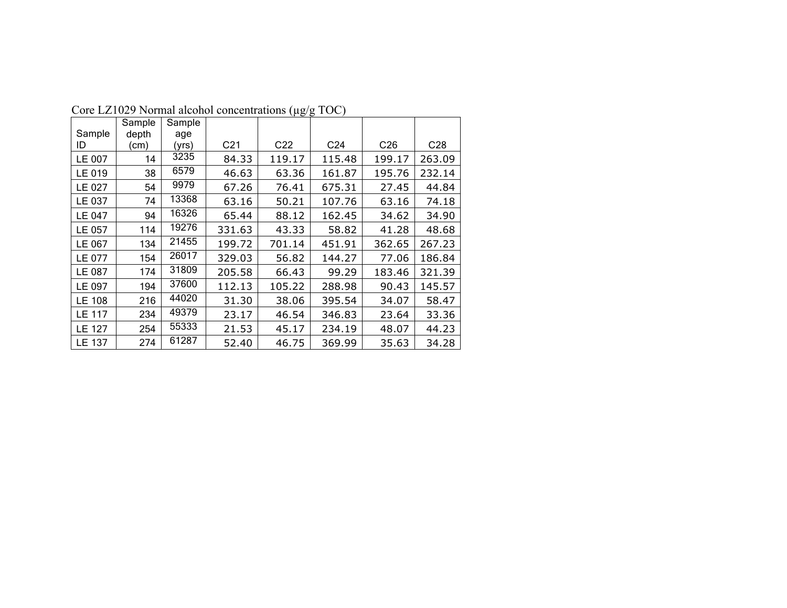|               | Sample | Sample |                 |                 |                 |                 |                 |
|---------------|--------|--------|-----------------|-----------------|-----------------|-----------------|-----------------|
| Sample        | depth  | age    |                 |                 |                 |                 |                 |
| ID            | (cm)   | (yrs)  | C <sub>21</sub> | C <sub>22</sub> | C <sub>24</sub> | C <sub>26</sub> | C <sub>28</sub> |
| LE 007        | 14     | 3235   | 84.33           | 119.17          | 115.48          | 199.17          | 263.09          |
| LE 019        | 38     | 6579   | 46.63           | 63.36           | 161.87          | 195.76          | 232.14          |
| LE 027        | 54     | 9979   | 67.26           | 76.41           | 675.31          | 27.45           | 44.84           |
| LE 037        | 74     | 13368  | 63.16           | 50.21           | 107.76          | 63.16           | 74.18           |
| LE 047        | 94     | 16326  | 65.44           | 88.12           | 162.45          | 34.62           | 34.90           |
| LE 057        | 114    | 19276  | 331.63          | 43.33           | 58.82           | 41.28           | 48.68           |
| LE 067        | 134    | 21455  | 199.72          | 701.14          | 451.91          | 362.65          | 267.23          |
| LE 077        | 154    | 26017  | 329.03          | 56.82           | 144.27          | 77.06           | 186.84          |
| LE 087        | 174    | 31809  | 205.58          | 66.43           | 99.29           | 183.46          | 321.39          |
| LE 097        | 194    | 37600  | 112.13          | 105.22          | 288.98          | 90.43           | 145.57          |
| <b>LE 108</b> | 216    | 44020  | 31.30           | 38.06           | 395.54          | 34.07           | 58.47           |
| <b>LE 117</b> | 234    | 49379  | 23.17           | 46.54           | 346.83          | 23.64           | 33.36           |
| <b>LE 127</b> | 254    | 55333  | 21.53           | 45.17           | 234.19          | 48.07           | 44.23           |
| <b>LE 137</b> | 274    | 61287  | 52.40           | 46.75           | 369.99          | 35.63           | 34.28           |

Core LZ1029 Normal alcohol concentrations (µg/g TOC)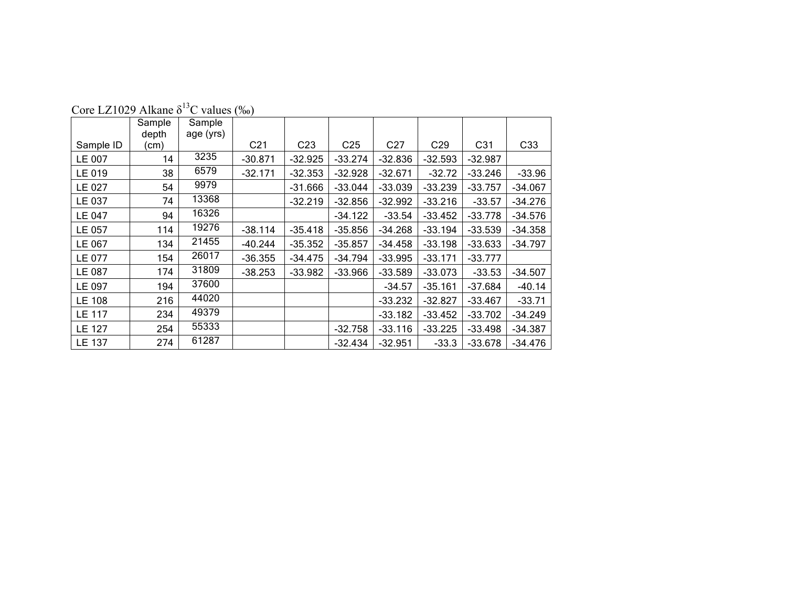|               | Sample<br>depth | Sample<br>age (yrs) |                 |                 |                 |                 |                 |                 |           |
|---------------|-----------------|---------------------|-----------------|-----------------|-----------------|-----------------|-----------------|-----------------|-----------|
| Sample ID     | (cm)            |                     | C <sub>21</sub> | C <sub>23</sub> | C <sub>25</sub> | C <sub>27</sub> | C <sub>29</sub> | C <sub>31</sub> | C33       |
| LE 007        | 14              | 3235                | $-30.871$       | $-32.925$       | $-33.274$       | $-32.836$       | $-32.593$       | $-32.987$       |           |
| LE 019        | 38              | 6579                | $-32.171$       | $-32.353$       | $-32.928$       | $-32.671$       | $-32.72$        | $-33.246$       | $-33.96$  |
| LE 027        | 54              | 9979                |                 | $-31.666$       | $-33.044$       | $-33.039$       | $-33.239$       | $-33.757$       | $-34.067$ |
| LE 037        | 74              | 13368               |                 | $-32.219$       | $-32.856$       | $-32.992$       | $-33.216$       | $-33.57$        | $-34.276$ |
| LE 047        | 94              | 16326               |                 |                 | $-34.122$       | $-33.54$        | $-33.452$       | $-33.778$       | $-34.576$ |
| LE 057        | 114             | 19276               | $-38.114$       | $-35.418$       | $-35.856$       | $-34.268$       | $-33.194$       | $-33.539$       | $-34.358$ |
| LE 067        | 134             | 21455               | $-40.244$       | $-35.352$       | $-35.857$       | $-34.458$       | $-33.198$       | $-33.633$       | $-34.797$ |
| LE 077        | 154             | 26017               | $-36.355$       | $-34.475$       | $-34.794$       | $-33.995$       | $-33.171$       | $-33.777$       |           |
| LE 087        | 174             | 31809               | $-38.253$       | $-33.982$       | $-33.966$       | $-33.589$       | $-33.073$       | $-33.53$        | $-34.507$ |
| LE 097        | 194             | 37600               |                 |                 |                 | $-34.57$        | $-35.161$       | $-37.684$       | $-40.14$  |
| <b>LE 108</b> | 216             | 44020               |                 |                 |                 | $-33.232$       | $-32.827$       | $-33.467$       | $-33.71$  |
| <b>LE 117</b> | 234             | 49379               |                 |                 |                 | $-33.182$       | $-33.452$       | $-33.702$       | $-34.249$ |
| <b>LE 127</b> | 254             | 55333               |                 |                 | $-32.758$       | $-33.116$       | $-33.225$       | $-33.498$       | $-34.387$ |
| LE 137        | 274             | 61287               |                 |                 | $-32.434$       | $-32.951$       | $-33.3$         | $-33.678$       | $-34.476$ |

Core LZ1029 Alkane  $\delta^{13}$ C values (‰)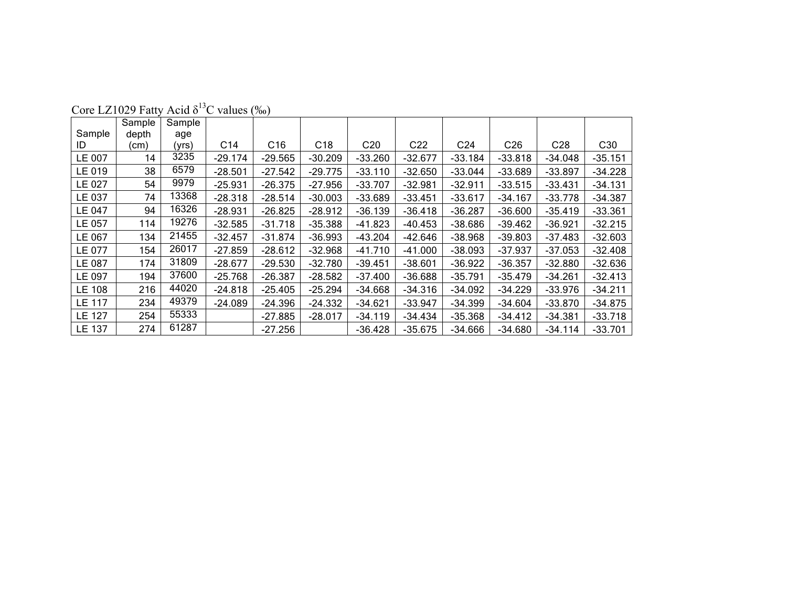|               | Sample | Sample |                 |                 |           |                 |                 |                 |                 |                 |                 |
|---------------|--------|--------|-----------------|-----------------|-----------|-----------------|-----------------|-----------------|-----------------|-----------------|-----------------|
| Sample        | depth  | age    |                 |                 |           |                 |                 |                 |                 |                 |                 |
| ID            | (cm)   | (yrs)  | C <sub>14</sub> | C <sub>16</sub> | C18       | C <sub>20</sub> | C <sub>22</sub> | C <sub>24</sub> | C <sub>26</sub> | C <sub>28</sub> | C <sub>30</sub> |
| LE 007        | 14     | 3235   | $-29.174$       | $-29.565$       | $-30.209$ | $-33.260$       | $-32.677$       | $-33.184$       | $-33.818$       | $-34.048$       | $-35.151$       |
| LE 019        | 38     | 6579   | $-28.501$       | $-27.542$       | $-29.775$ | $-33.110$       | $-32.650$       | $-33.044$       | $-33.689$       | $-33.897$       | $-34.228$       |
| LE 027        | 54     | 9979   | $-25.931$       | $-26.375$       | $-27.956$ | $-33.707$       | $-32.981$       | $-32.911$       | $-33.515$       | $-33.431$       | $-34.131$       |
| LE 037        | 74     | 13368  | $-28.318$       | $-28.514$       | $-30.003$ | $-33.689$       | $-33.451$       | $-33.617$       | $-34.167$       | $-33.778$       | $-34.387$       |
| LE 047        | 94     | 16326  | $-28.931$       | $-26.825$       | $-28.912$ | $-36.139$       | $-36.418$       | $-36.287$       | $-36.600$       | $-35.419$       | $-33.361$       |
| LE 057        | 114    | 19276  | $-32.585$       | $-31.718$       | $-35.388$ | -41.823         | $-40.453$       | $-38.686$       | $-39.462$       | $-36.921$       | $-32.215$       |
| LE 067        | 134    | 21455  | $-32.457$       | $-31.874$       | $-36.993$ | $-43.204$       | -42.646         | $-38.968$       | $-39.803$       | $-37.483$       | $-32.603$       |
| LE 077        | 154    | 26017  | $-27.859$       | $-28.612$       | $-32.968$ | $-41.710$       | $-41.000$       | $-38.093$       | $-37.937$       | $-37.053$       | $-32.408$       |
| LE 087        | 174    | 31809  | $-28.677$       | $-29.530$       | $-32.780$ | $-39.451$       | $-38.601$       | $-36.922$       | $-36.357$       | $-32.880$       | $-32.636$       |
| LE 097        | 194    | 37600  | $-25.768$       | $-26.387$       | $-28.582$ | $-37.400$       | $-36.688$       | $-35.791$       | $-35.479$       | $-34.261$       | $-32.413$       |
| <b>LE 108</b> | 216    | 44020  | $-24.818$       | $-25.405$       | $-25.294$ | $-34.668$       | $-34.316$       | $-34.092$       | $-34.229$       | $-33.976$       | $-34.211$       |
| <b>LE 117</b> | 234    | 49379  | $-24.089$       | $-24.396$       | $-24.332$ | $-34.621$       | $-33.947$       | $-34.399$       | $-34.604$       | $-33.870$       | $-34.875$       |
| <b>LE 127</b> | 254    | 55333  |                 | $-27.885$       | $-28.017$ | $-34.119$       | $-34.434$       | $-35.368$       | $-34.412$       | $-34.381$       | $-33.718$       |
| LE 137        | 274    | 61287  |                 | $-27.256$       |           | $-36.428$       | $-35.675$       | $-34.666$       | $-34.680$       | $-34.114$       | $-33.701$       |

Core LZ1029 Fatty Acid  $\delta^{13}$ C values (‰)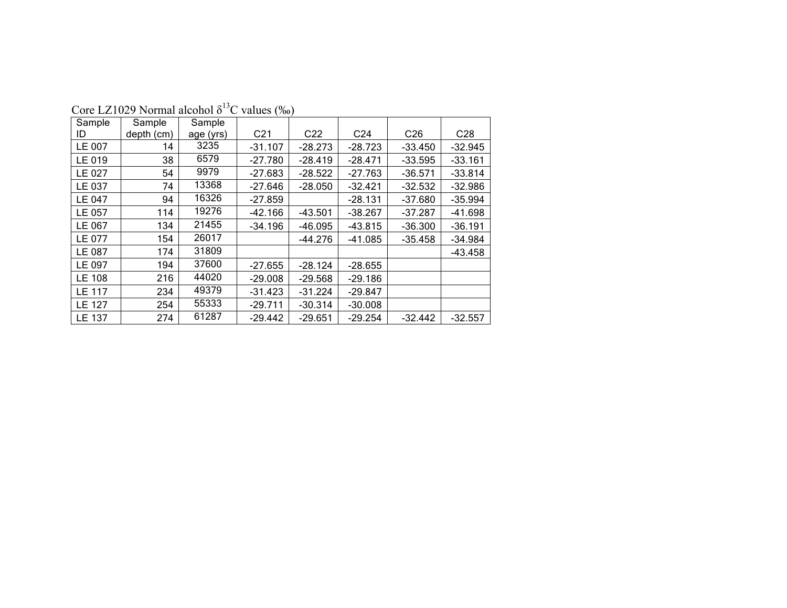| Sample        | Sample     | Sample    |                 |                 |                 |                 |                 |
|---------------|------------|-----------|-----------------|-----------------|-----------------|-----------------|-----------------|
| ID            | depth (cm) | age (yrs) | C <sub>21</sub> | C <sub>22</sub> | C <sub>24</sub> | C <sub>26</sub> | C <sub>28</sub> |
| LE 007        | 14         | 3235      | $-31.107$       | $-28.273$       | $-28.723$       | $-33.450$       | $-32.945$       |
| LE 019        | 38         | 6579      | $-27.780$       | $-28.419$       | $-28.471$       | $-33.595$       | $-33.161$       |
| LE 027        | 54         | 9979      | $-27.683$       | $-28.522$       | $-27.763$       | $-36.571$       | $-33.814$       |
| LE 037        | 74         | 13368     | $-27.646$       | $-28.050$       | $-32.421$       | $-32.532$       | $-32.986$       |
| <b>LE 047</b> | 94         | 16326     | $-27.859$       |                 | $-28.131$       | $-37.680$       | $-35.994$       |
| LE 057        | 114        | 19276     | $-42.166$       | $-43.501$       | $-38.267$       | $-37.287$       | $-41.698$       |
| LE 067        | 134        | 21455     | $-34.196$       | $-46.095$       | $-43.815$       | $-36.300$       | $-36.191$       |
| LE 077        | 154        | 26017     |                 | $-44.276$       | $-41.085$       | $-35.458$       | $-34.984$       |
| LE 087        | 174        | 31809     |                 |                 |                 |                 | $-43.458$       |
| LE 097        | 194        | 37600     | $-27.655$       | $-28.124$       | $-28.655$       |                 |                 |
| <b>LE 108</b> | 216        | 44020     | $-29.008$       | $-29.568$       | $-29.186$       |                 |                 |
| <b>LE 117</b> | 234        | 49379     | $-31.423$       | $-31.224$       | $-29.847$       |                 |                 |
| LE 127        | 254        | 55333     | $-29.711$       | $-30.314$       | $-30.008$       |                 |                 |
| <b>LE 137</b> | 274        | 61287     | $-29.442$       | $-29.651$       | $-29.254$       | $-32.442$       | $-32.557$       |

Core LZ1029 Normal alcohol  $\delta^{13}$ C values (‰)